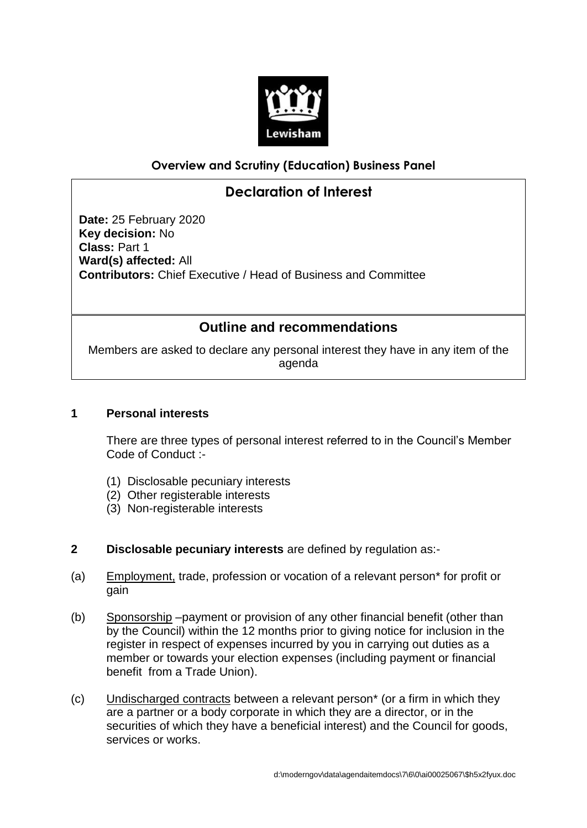

# **Overview and Scrutiny (Education) Business Panel**

# **Declaration of Interest**

**Date:** 25 February 2020 **Key decision:** No **Class:** Part 1 **Ward(s) affected:** All **Contributors:** Chief Executive / Head of Business and Committee

# **Outline and recommendations**

Members are asked to declare any personal interest they have in any item of the agenda

### **1 Personal interests**

There are three types of personal interest referred to in the Council's Member Code of Conduct :-

- (1) Disclosable pecuniary interests
- (2) Other registerable interests
- (3) Non-registerable interests
- **2 Disclosable pecuniary interests** are defined by regulation as:-
- (a) Employment, trade, profession or vocation of a relevant person\* for profit or gain
- (b) Sponsorship –payment or provision of any other financial benefit (other than by the Council) within the 12 months prior to giving notice for inclusion in the register in respect of expenses incurred by you in carrying out duties as a member or towards your election expenses (including payment or financial benefit from a Trade Union).
- (c) Undischarged contracts between a relevant person\* (or a firm in which they are a partner or a body corporate in which they are a director, or in the securities of which they have a beneficial interest) and the Council for goods, services or works.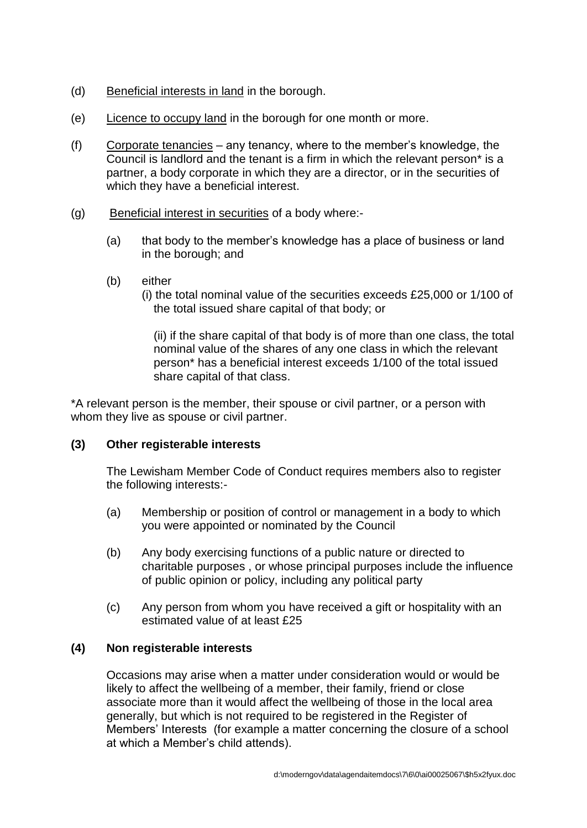- (d) Beneficial interests in land in the borough.
- (e) Licence to occupy land in the borough for one month or more.
- (f) Corporate tenancies any tenancy, where to the member's knowledge, the Council is landlord and the tenant is a firm in which the relevant person\* is a partner, a body corporate in which they are a director, or in the securities of which they have a beneficial interest.
- (g) Beneficial interest in securities of a body where:-
	- (a) that body to the member's knowledge has a place of business or land in the borough; and
	- (b) either
		- (i) the total nominal value of the securities exceeds £25,000 or 1/100 of the total issued share capital of that body; or

(ii) if the share capital of that body is of more than one class, the total nominal value of the shares of any one class in which the relevant person\* has a beneficial interest exceeds 1/100 of the total issued share capital of that class.

\*A relevant person is the member, their spouse or civil partner, or a person with whom they live as spouse or civil partner.

#### **(3) Other registerable interests**

The Lewisham Member Code of Conduct requires members also to register the following interests:-

- (a) Membership or position of control or management in a body to which you were appointed or nominated by the Council
- (b) Any body exercising functions of a public nature or directed to charitable purposes , or whose principal purposes include the influence of public opinion or policy, including any political party
- (c) Any person from whom you have received a gift or hospitality with an estimated value of at least £25

#### **(4) Non registerable interests**

Occasions may arise when a matter under consideration would or would be likely to affect the wellbeing of a member, their family, friend or close associate more than it would affect the wellbeing of those in the local area generally, but which is not required to be registered in the Register of Members' Interests (for example a matter concerning the closure of a school at which a Member's child attends).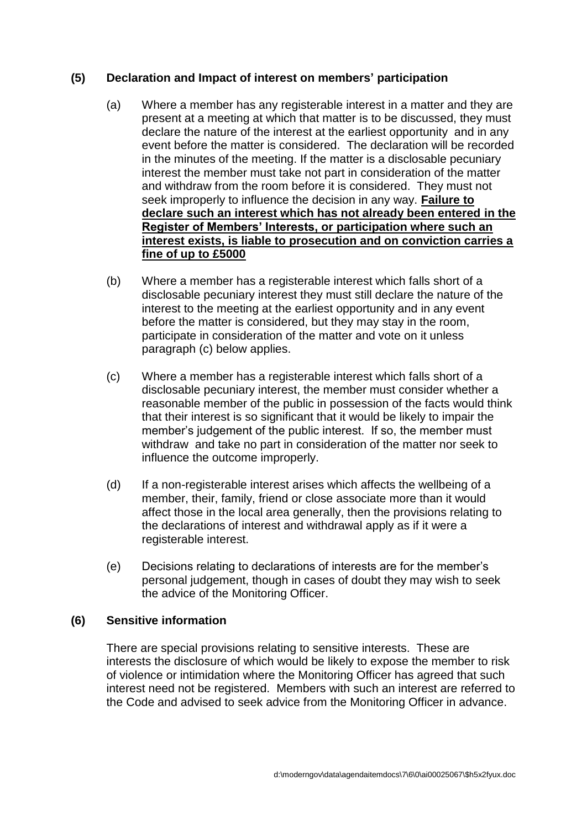## **(5) Declaration and Impact of interest on members' participation**

- (a) Where a member has any registerable interest in a matter and they are present at a meeting at which that matter is to be discussed, they must declare the nature of the interest at the earliest opportunity and in any event before the matter is considered. The declaration will be recorded in the minutes of the meeting. If the matter is a disclosable pecuniary interest the member must take not part in consideration of the matter and withdraw from the room before it is considered. They must not seek improperly to influence the decision in any way. **Failure to declare such an interest which has not already been entered in the Register of Members' Interests, or participation where such an interest exists, is liable to prosecution and on conviction carries a fine of up to £5000**
- (b) Where a member has a registerable interest which falls short of a disclosable pecuniary interest they must still declare the nature of the interest to the meeting at the earliest opportunity and in any event before the matter is considered, but they may stay in the room, participate in consideration of the matter and vote on it unless paragraph (c) below applies.
- (c) Where a member has a registerable interest which falls short of a disclosable pecuniary interest, the member must consider whether a reasonable member of the public in possession of the facts would think that their interest is so significant that it would be likely to impair the member's judgement of the public interest. If so, the member must withdraw and take no part in consideration of the matter nor seek to influence the outcome improperly.
- (d) If a non-registerable interest arises which affects the wellbeing of a member, their, family, friend or close associate more than it would affect those in the local area generally, then the provisions relating to the declarations of interest and withdrawal apply as if it were a registerable interest.
- (e) Decisions relating to declarations of interests are for the member's personal judgement, though in cases of doubt they may wish to seek the advice of the Monitoring Officer.

#### **(6) Sensitive information**

There are special provisions relating to sensitive interests. These are interests the disclosure of which would be likely to expose the member to risk of violence or intimidation where the Monitoring Officer has agreed that such interest need not be registered. Members with such an interest are referred to the Code and advised to seek advice from the Monitoring Officer in advance.